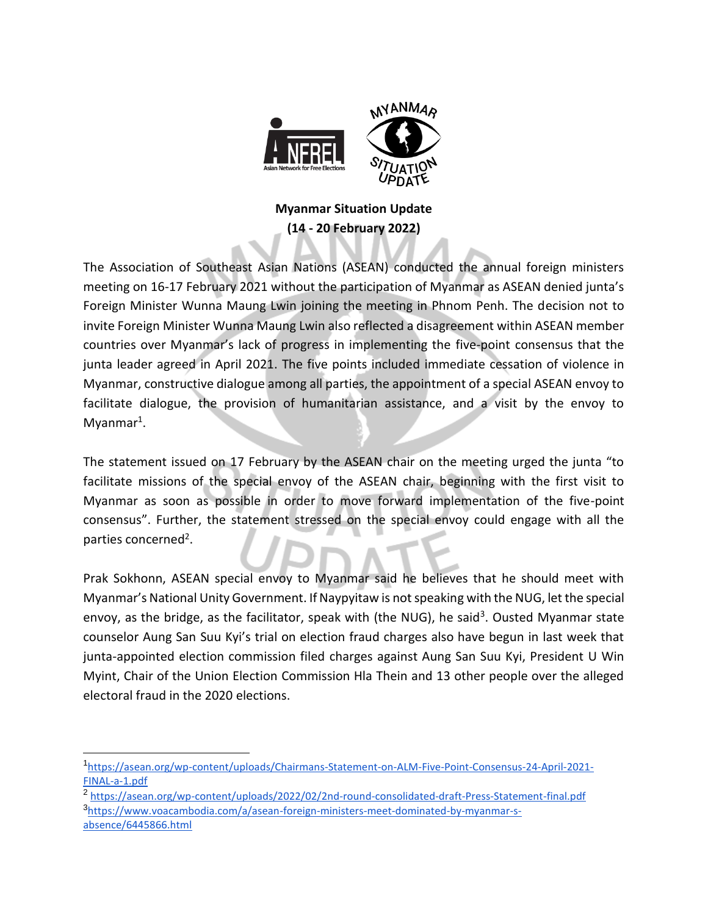

## **Myanmar Situation Update (14 - 20 February 2022)**

The Association of Southeast Asian Nations (ASEAN) conducted the annual foreign ministers meeting on 16-17 February 2021 without the participation of Myanmar as ASEAN denied junta's Foreign Minister Wunna Maung Lwin joining the meeting in Phnom Penh. The decision not to invite Foreign Minister Wunna Maung Lwin also reflected a disagreement within ASEAN member countries over Myanmar's lack of progress in implementing the five-point consensus that the junta leader agreed in April 2021. The five points included immediate cessation of violence in Myanmar, constructive dialogue among all parties, the appointment of a special ASEAN envoy to facilitate dialogue, the provision of humanitarian assistance, and a visit by the envoy to  $Myanmar<sup>1</sup>$ .

The statement issued on 17 February by the ASEAN chair on the meeting urged the junta "to facilitate missions of the special envoy of the ASEAN chair, beginning with the first visit to Myanmar as soon as possible in order to move forward implementation of the five-point consensus". Further, the statement stressed on the special envoy could engage with all the parties concerned<sup>2</sup>.

Prak Sokhonn, ASEAN special envoy to Myanmar said he believes that he should meet with Myanmar's National Unity Government. If Naypyitaw is not speaking with the NUG, let the special envoy, as the bridge, as the facilitator, speak with (the NUG), he said<sup>3</sup>. Ousted Myanmar state counselor Aung San Suu Kyi's trial on election fraud charges also have begun in last week that junta-appointed election commission filed charges against Aung San Suu Kyi, President U Win Myint, Chair of the Union Election Commission Hla Thein and 13 other people over the alleged electoral fraud in the 2020 elections.

 $\overline{a}$ 

<sup>2</sup> https://asean.org/wp-content/uploads/2022/02/2nd-round-consolidated-draft-Press-Statement-final.pdf 3 [https://www.voacambodia.com/a/asean-foreign-ministers-meet-dominated-by-myanmar-s](https://www.voacambodia.com/a/asean-foreign-ministers-meet-dominated-by-myanmar-s-absence/6445866.html)[absence/6445866.html](https://www.voacambodia.com/a/asean-foreign-ministers-meet-dominated-by-myanmar-s-absence/6445866.html)

<sup>1</sup> [https://asean.org/wp-content/uploads/Chairmans-Statement-on-ALM-Five-Point-Consensus-24-April-2021-](https://asean.org/wp-content/uploads/Chairmans-Statement-on-ALM-Five-Point-Consensus-24-April-2021-FINAL-a-1.pdf) [FINAL-a-1.pdf](https://asean.org/wp-content/uploads/Chairmans-Statement-on-ALM-Five-Point-Consensus-24-April-2021-FINAL-a-1.pdf)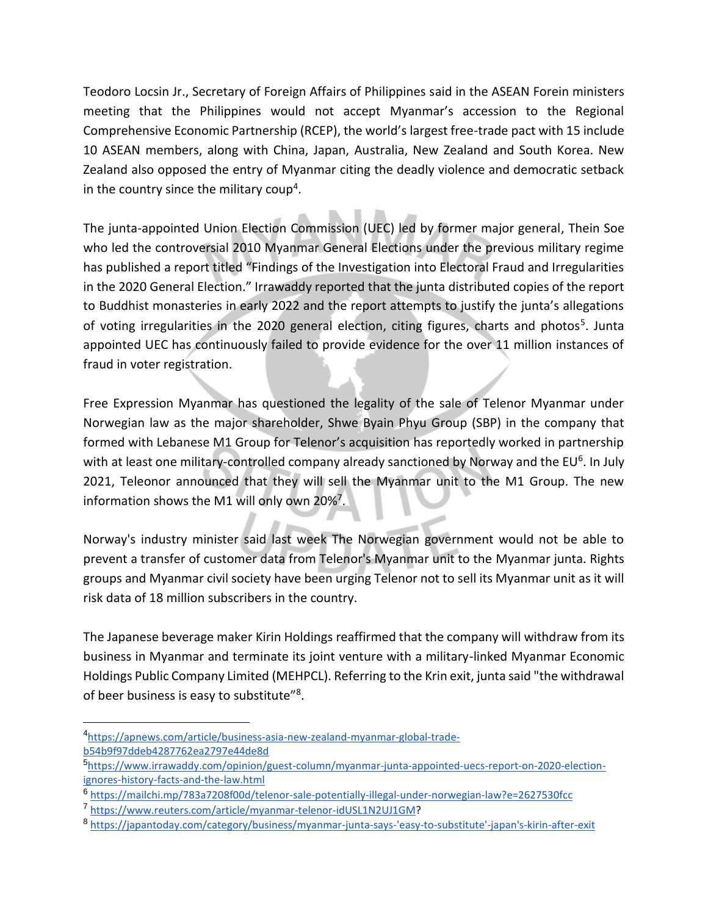Teodoro Locsin Jr., Secretary of Foreign Affairs of Philippines said in the ASEAN Forein ministers meeting that the Philippines would not accept Myanmar's accession to the Regional Comprehensive Economic Partnership (RCEP), the world's largest free-trade pact with 15 include 10 ASEAN members, along with China, Japan, Australia, New Zealand and South Korea. New Zealand also opposed the entry of Myanmar citing the deadly violence and democratic setback in the country since the military coup<sup>4</sup>.

The junta-appointed Union Election Commission (UEC) led by former major general, Thein Soe who led the controversial 2010 Myanmar General Elections under the previous military regime has published a report titled "Findings of the Investigation into Electoral Fraud and Irregularities in the 2020 General Election." Irrawaddy reported that the junta distributed copies of the report to Buddhist monasteries in early 2022 and the report attempts to justify the junta's allegations of voting irregularities in the 2020 general election, citing figures, charts and photos<sup>5</sup>. Junta appointed UEC has continuously failed to provide evidence for the over 11 million instances of fraud in voter registration.

Free Expression Myanmar has questioned the legality of the sale of Telenor Myanmar under Norwegian law as the major shareholder, Shwe Byain Phyu Group (SBP) in the company that formed with Lebanese M1 Group for Telenor's acquisition has reportedly worked in partnership with at least one military-controlled company already sanctioned by Norway and the EU<sup>6</sup>. In July 2021, Teleonor announced that they will sell the Myanmar unit to the M1 Group. The new information shows the M1 will only own 20%<sup>7</sup>.

Norway's industry minister said last week The Norwegian government would not be able to prevent a transfer of customer data from Telenor's Myanmar unit to the Myanmar junta. Rights groups and Myanmar civil society have been urging Telenor not to sell its Myanmar unit as it will risk data of 18 million subscribers in the country.

The Japanese beverage maker Kirin Holdings reaffirmed that the company will withdraw from its business in Myanmar and terminate its joint venture with a military-linked Myanmar Economic Holdings Public Company Limited (MEHPCL). Referring to the Krin exit, junta said "the withdrawal of beer business is easy to substitute"<sup>8</sup>.

<sup>4</sup> [https://apnews.com/article/business-asia-new-zealand-myanmar-global-trade](https://apnews.com/article/business-asia-new-zealand-myanmar-global-trade-b54b9f97ddeb4287762ea2797e44de8d)[b54b9f97ddeb4287762ea2797e44de8d](https://apnews.com/article/business-asia-new-zealand-myanmar-global-trade-b54b9f97ddeb4287762ea2797e44de8d)

<sup>5</sup> [https://www.irrawaddy.com/opinion/guest-column/myanmar-junta-appointed-uecs-report-on-2020-election](https://www.irrawaddy.com/opinion/guest-column/myanmar-junta-appointed-uecs-report-on-2020-election-ignores-history-facts-and-the-law.html)[ignores-history-facts-and-the-law.html](https://www.irrawaddy.com/opinion/guest-column/myanmar-junta-appointed-uecs-report-on-2020-election-ignores-history-facts-and-the-law.html)

<sup>6</sup> <https://mailchi.mp/783a7208f00d/telenor-sale-potentially-illegal-under-norwegian-law?e=2627530fcc>

<sup>7</sup> [https://www.reuters.com/article/myanmar-telenor-idUSL1N2UJ1GM?](https://www.reuters.com/article/myanmar-telenor-idUSL1N2UJ1GM)

<sup>8</sup> [https://japantoday.com/category/business/myanmar-junta-says-'easy-to-substitute'-japan's-kirin-after-exit](https://japantoday.com/category/business/myanmar-junta-says-)